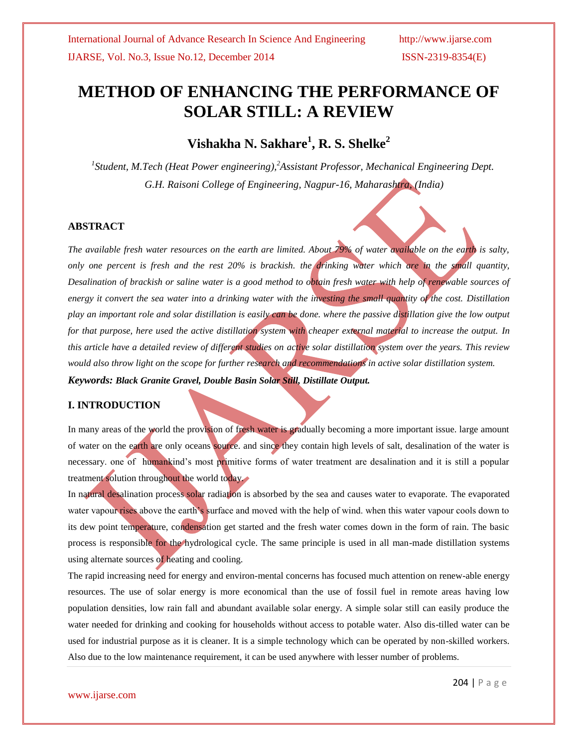# **METHOD OF ENHANCING THE PERFORMANCE OF SOLAR STILL: A REVIEW**

**Vishakha N. Sakhare<sup>1</sup> , R. S. Shelke<sup>2</sup>**

*1 Student, M.Tech (Heat Power engineering),<sup>2</sup>Assistant Professor, Mechanical Engineering Dept. G.H. Raisoni College of Engineering, Nagpur-16, Maharashtra, (India)*

### **ABSTRACT**

*The available fresh water resources on the earth are limited. About 79% of water available on the earth is salty, only one percent is fresh and the rest 20% is brackish. the drinking water which are in the small quantity, Desalination of brackish or saline water is a good method to obtain fresh water with help of renewable sources of energy it convert the sea water into a drinking water with the investing the small quantity of the cost. Distillation play an important role and solar distillation is easily can be done. where the passive distillation give the low output for that purpose, here used the active distillation system with cheaper external material to increase the output. In this article have a detailed review of different studies on active solar distillation system over the years. This review would also throw light on the scope for further research and recommendations in active solar distillation system. Keywords: Black Granite Gravel, Double Basin Solar Still, Distillate Output.*

## **I. INTRODUCTION**

In many areas of the world the provision of fresh water is gradually becoming a more important issue. large amount of water on the earth are only oceans source. and since they contain high levels of salt, desalination of the water is necessary. one of humankind's most primitive forms of water treatment are desalination and it is still a popular treatment solution throughout the world today.

In natural desalination process solar radiation is absorbed by the sea and causes water to evaporate. The evaporated water vapour rises above the earth's surface and moved with the help of wind, when this water vapour cools down to its dew point temperature, condensation get started and the fresh water comes down in the form of rain. The basic process is responsible for the hydrological cycle. The same principle is used in all man-made distillation systems using alternate sources of heating and cooling.

The rapid increasing need for energy and environ-mental concerns has focused much attention on renew-able energy resources. The use of solar energy is more economical than the use of fossil fuel in remote areas having low population densities, low rain fall and abundant available solar energy. A simple solar still can easily produce the water needed for drinking and cooking for households without access to potable water. Also dis-tilled water can be used for industrial purpose as it is cleaner. It is a simple technology which can be operated by non-skilled workers. Also due to the low maintenance requirement, it can be used anywhere with lesser number of problems.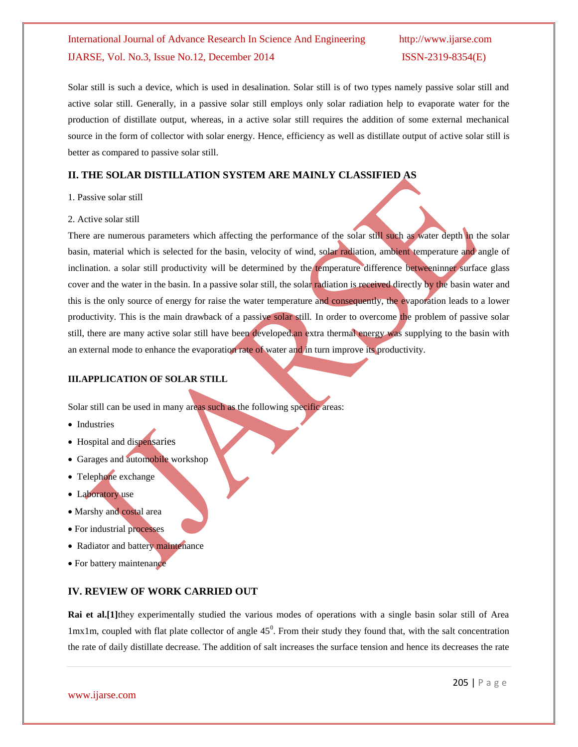Solar still is such a device, which is used in desalination. Solar still is of two types namely passive solar still and active solar still. Generally, in a passive solar still employs only solar radiation help to evaporate water for the production of distillate output, whereas, in a active solar still requires the addition of some external mechanical source in the form of collector with solar energy. Hence, efficiency as well as distillate output of active solar still is better as compared to passive solar still.

## **II. THE SOLAR DISTILLATION SYSTEM ARE MAINLY CLASSIFIED AS**

#### 1. Passive solar still

#### 2. Active solar still

There are numerous parameters which affecting the performance of the solar still such as water depth in the solar basin, material which is selected for the basin, velocity of wind, solar radiation, ambient temperature and angle of inclination. a solar still productivity will be determined by the temperature difference betweeninner surface glass cover and the water in the basin. In a passive solar still, the solar radiation is received directly by the basin water and this is the only source of energy for raise the water temperature and consequently, the evaporation leads to a lower productivity. This is the main drawback of a passive solar still. In order to overcome the problem of passive solar still, there are many active solar still have been developed.an extra thermal energy was supplying to the basin with an external mode to enhance the evaporation rate of water and in turn improve its productivity.

## **III.APPLICATION OF SOLAR STILL**

Solar still can be used in many areas such as the following specific areas:

- Industries
- Hospital and dispensaries
- Garages and automobile workshop
- Telephone exchange
- Laboratory use
- Marshy and costal area
- For industrial processes
- Radiator and battery maintenance
- For battery maintenance

## **IV. REVIEW OF WORK CARRIED OUT**

**Rai et al.**[1] they experimentally studied the various modes of operations with a single basin solar still of Area  $1\,\text{m}$ x1m, coupled with flat plate collector of angle 45<sup>°</sup>. From their study they found that, with the salt concentration the rate of daily distillate decrease. The addition of salt increases the surface tension and hence its decreases the rate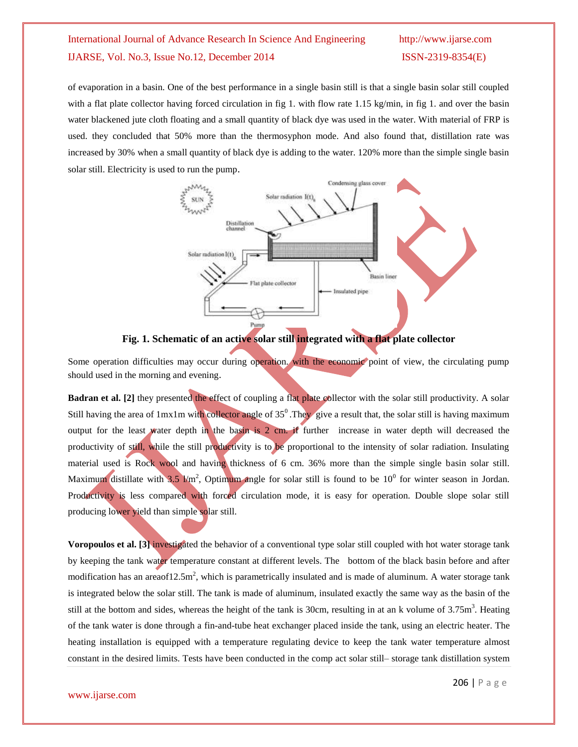of evaporation in a basin. One of the best performance in a single basin still is that a single basin solar still coupled with a flat plate collector having forced circulation in fig 1. with flow rate 1.15 kg/min, in fig 1. and over the basin water blackened jute cloth floating and a small quantity of black dye was used in the water. With material of FRP is used. they concluded that 50% more than the thermosyphon mode. And also found that, distillation rate was increased by 30% when a small quantity of black dye is adding to the water. 120% more than the simple single basin solar still. Electricity is used to run the pump.





Some operation difficulties may occur during operation. with the economic point of view, the circulating pump should used in the morning and evening.

**Badran et al.** [2] they presented the effect of coupling a flat plate collector with the solar still productivity. A solar Still having the area of  $1mx1m$  with collector angle of  $35<sup>0</sup>$ . They give a result that, the solar still is having maximum output for the least water depth in the basin is 2 cm. if further increase in water depth will decreased the productivity of still, while the still productivity is to be proportional to the intensity of solar radiation. Insulating material used is Rock wool and having thickness of 6 cm. 36% more than the simple single basin solar still. Maximum distillate with 3.5  $\text{km}^2$ , Optimum angle for solar still is found to be 10<sup>0</sup> for winter season in Jordan. Productivity is less compared with forced circulation mode, it is easy for operation. Double slope solar still producing lower yield than simple solar still.

**Voropoulos et al. [3]** investigated the behavior of a conventional type solar still coupled with hot water storage tank by keeping the tank water temperature constant at different levels. The bottom of the black basin before and after modification has an areaof12.5m<sup>2</sup>, which is parametrically insulated and is made of aluminum. A water storage tank is integrated below the solar still. The tank is made of aluminum, insulated exactly the same way as the basin of the still at the bottom and sides, whereas the height of the tank is 30cm, resulting in at an k volume of  $3.75m<sup>3</sup>$ . Heating of the tank water is done through a fin-and-tube heat exchanger placed inside the tank, using an electric heater. The heating installation is equipped with a temperature regulating device to keep the tank water temperature almost constant in the desired limits. Tests have been conducted in the comp act solar still– storage tank distillation system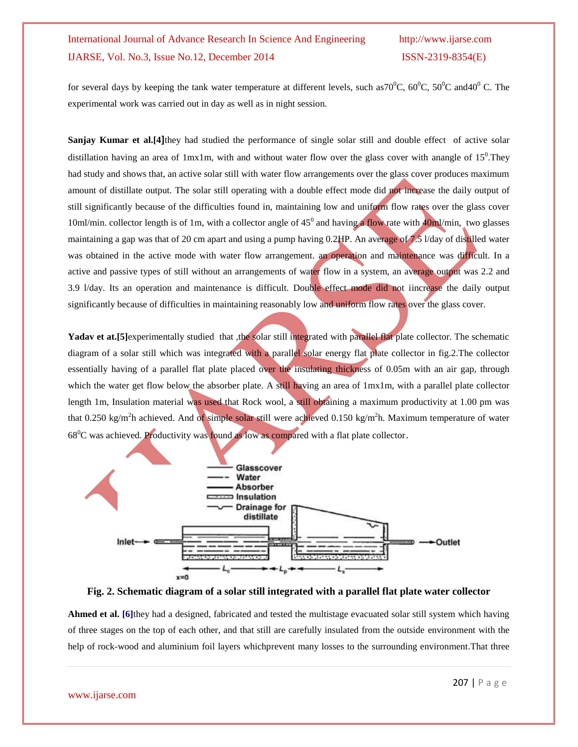for several days by keeping the tank water temperature at different levels, such as  $70^{\circ}$ C,  $60^{\circ}$ C,  $50^{\circ}$ C and  $40^{\circ}$ C. The experimental work was carried out in day as well as in night session.

**Sanjay Kumar et al.[4]**they had studied the performance of single solar still and double effect of active solar distillation having an area of 1mx1m, with and without water flow over the glass cover with anangle of  $15^{\circ}$ . They had study and shows that, an active solar still with water flow arrangements over the glass cover produces maximum amount of distillate output. The solar still operating with a double effect mode did not increase the daily output of still significantly because of the difficulties found in, maintaining low and uniform flow rates over the glass cover 10ml/min. collector length is of 1m, with a collector angle of  $45^{\circ}$  and having a flow rate with  $40$ ml/min, two glasses maintaining a gap was that of 20 cm apart and using a pump having 0.2HP. An average of 7.5 V day of distilled water was obtained in the active mode with water flow arrangement. an operation and maintenance was difficult. In a active and passive types of still without an arrangements of water flow in a system, an average output was 2.2 and 3.9 l/day. Its an operation and maintenance is difficult. Double effect mode did not iincrease the daily output significantly because of difficulties in maintaining reasonably low and uniform flow rates over the glass cover.

Yadav et at.<sup>[5]</sup>experimentally studied that ,the solar still integrated with parallel flat plate collector. The schematic diagram of a solar still which was integrated with a parallel solar energy flat plate collector in fig.2. The collector essentially having of a parallel flat plate placed over the insulating thickness of 0.05m with an air gap, through which the water get flow below the absorber plate. A still having an area of  $1mx1m$ , with a parallel plate collector length 1m, Insulation material was used that Rock wool, a still obtaining a maximum productivity at 1.00 pm was that 0.250 kg/m<sup>2</sup>h achieved. And of simple solar still were achieved 0.150 kg/m<sup>2</sup>h. Maximum temperature of water 68<sup>0</sup>C was achieved. Productivity was found as low as compared with a flat plate collector.



**Fig. 2. Schematic diagram of a solar still integrated with a parallel flat plate water collector**

**Ahmed et al. [6]**they had a designed, fabricated and tested the multistage evacuated solar still system which having of three stages on the top of each other, and that still are carefully insulated from the outside environment with the help of rock-wood and aluminium foil layers whichprevent many losses to the surrounding environment.That three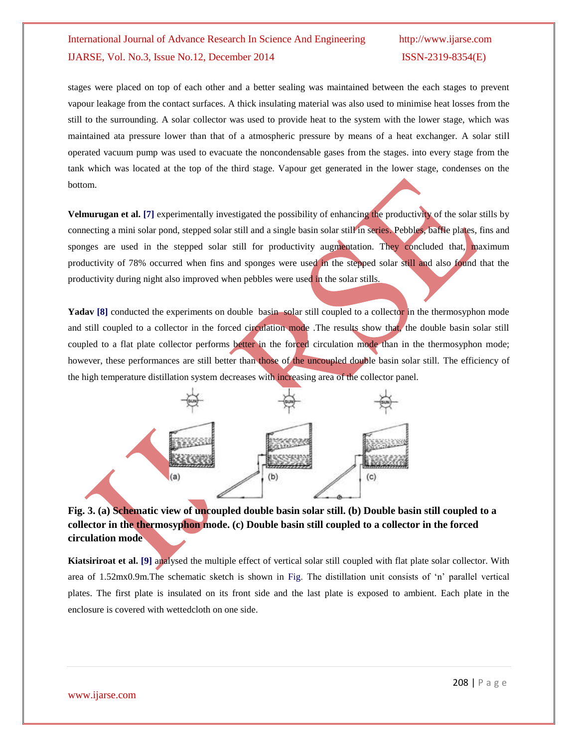stages were placed on top of each other and a better sealing was maintained between the each stages to prevent vapour leakage from the contact surfaces. A thick insulating material was also used to minimise heat losses from the still to the surrounding. A solar collector was used to provide heat to the system with the lower stage, which was maintained ata pressure lower than that of a atmospheric pressure by means of a heat exchanger. A solar still operated vacuum pump was used to evacuate the noncondensable gases from the stages. into every stage from the tank which was located at the top of the third stage. Vapour get generated in the lower stage, condenses on the bottom.

Velmurugan et al. [7] experimentally investigated the possibility of enhancing the productivity of the solar stills by connecting a mini solar pond, stepped solar still and a single basin solar still in series. Pebbles, baffle plates, fins and sponges are used in the stepped solar still for productivity augmentation. They concluded that, maximum productivity of 78% occurred when fins and sponges were used in the stepped solar still and also found that the productivity during night also improved when pebbles were used in the solar stills.

Yadav [8] conducted the experiments on double basin solar still coupled to a collector in the thermosyphon mode and still coupled to a collector in the forced circulation mode .The results show that, the double basin solar still coupled to a flat plate collector performs better in the forced circulation mode than in the thermosyphon mode; however, these performances are still better than those of the uncoupled double basin solar still. The efficiency of the high temperature distillation system decreases with increasing area of the collector panel.



## **Fig. 3. (a) Schematic view of uncoupled double basin solar still. (b) Double basin still coupled to a collector in the thermosyphon mode. (c) Double basin still coupled to a collector in the forced circulation mode**

**Kiatsiriroat et al. [9]** analysed the multiple effect of vertical solar still coupled with flat plate solar collector. With area of 1.52mx0.9m.The schematic sketch is shown in Fig. The distillation unit consists of "n" parallel vertical plates. The first plate is insulated on its front side and the last plate is exposed to ambient. Each plate in the enclosure is covered with wettedcloth on one side.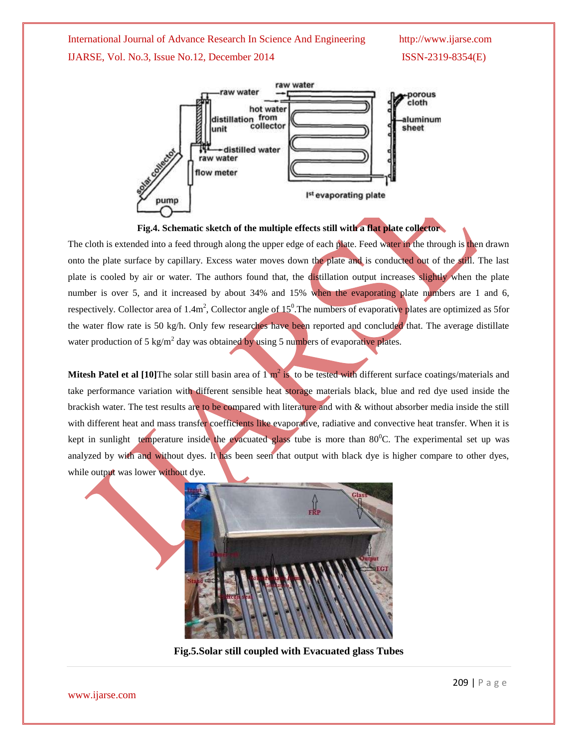

#### **Fig.4. Schematic sketch of the multiple effects still with a flat plate collector**

The cloth is extended into a feed through along the upper edge of each plate. Feed water in the through is then drawn onto the plate surface by capillary. Excess water moves down the plate and is conducted out of the still. The last plate is cooled by air or water. The authors found that, the distillation output increases slightly when the plate number is over 5, and it increased by about 34% and 15% when the evaporating plate numbers are 1 and 6, respectively. Collector area of  $1.4m^2$ , Collector angle of  $15^0$ . The numbers of evaporative plates are optimized as 5 for the water flow rate is 50 kg/h. Only few researches have been reported and concluded that. The average distillate water production of 5 kg/m<sup>2</sup> day was obtained by using 5 numbers of evaporative plates.

**Mitesh Patel et al [10]**The solar still basin area of  $1 \text{ m}^2$  is to be tested with different surface coatings/materials and take performance variation with different sensible heat storage materials black, blue and red dye used inside the brackish water. The test results are to be compared with literature and with & without absorber media inside the still with different heat and mass transfer coefficients like evaporative, radiative and convective heat transfer. When it is kept in sunlight temperature inside the evacuated glass tube is more than  $80^{\circ}$ C. The experimental set up was analyzed by with and without dyes. It has been seen that output with black dye is higher compare to other dyes, while output was lower without dye.



**Fig.5.Solar still coupled with Evacuated glass Tubes**

www.ijarse.com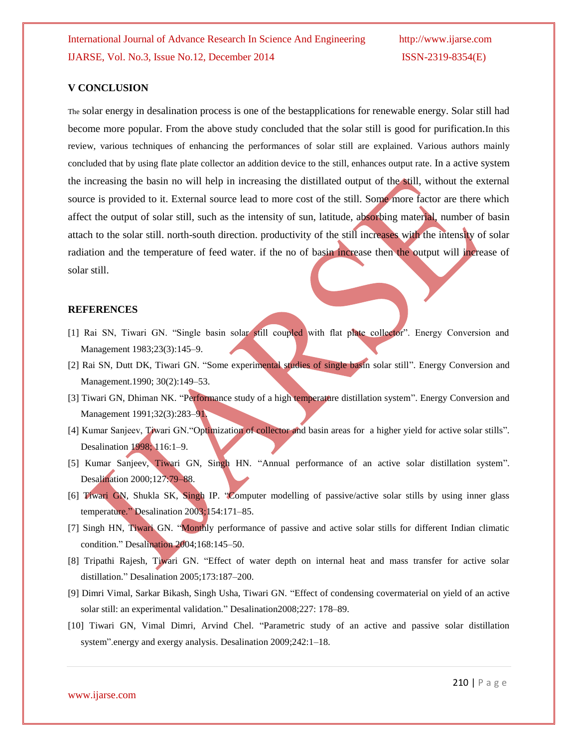### **V CONCLUSION**

The solar energy in desalination process is one of the bestapplications for renewable energy. Solar still had become more popular. From the above study concluded that the solar still is good for purification.In this review, various techniques of enhancing the performances of solar still are explained. Various authors mainly concluded that by using flate plate collector an addition device to the still, enhances output rate. In a active system the increasing the basin no will help in increasing the distillated output of the still, without the external source is provided to it. External source lead to more cost of the still. Some more factor are there which affect the output of solar still, such as the intensity of sun, latitude, absorbing material, number of basin attach to the solar still. north-south direction. productivity of the still increases with the intensity of solar radiation and the temperature of feed water. if the no of basin increase then the output will increase of solar still.

#### **REFERENCES**

- [1] Rai SN, Tiwari GN. "Single basin solar still coupled with flat plate collector". Energy Conversion and Management 1983;23(3):145–9.
- [2] Rai SN, Dutt DK, Tiwari GN. "Some experimental studies of single basin solar still". Energy Conversion and Management.1990; 30(2):149–53.
- [3] Tiwari GN, Dhiman NK. "Performance study of a high temperature distillation system". Energy Conversion and Management 1991;32(3):283-91.
- [4] Kumar Sanjeev, Tiwari GN."Optimization of collector and basin areas for a higher yield for active solar stills". Desalination 1998; 116:1–9.
- [5] Kumar Sanjeev, Tiwari GN, Singh HN. "Annual performance of an active solar distillation system". Desalination 2000;127:79–88.
- [6] Tiwari GN, Shukla SK, Singh IP. "Computer modelling of passive/active solar stills by using inner glass temperature." Desalination 2003;154:171–85.
- [7] Singh HN, Tiwari GN. "Monthly performance of passive and active solar stills for different Indian climatic condition." Desalination 2004;168:145–50.
- [8] Tripathi Rajesh, Tiwari GN. "Effect of water depth on internal heat and mass transfer for active solar distillation." Desalination 2005;173:187–200.
- [9] Dimri Vimal, Sarkar Bikash, Singh Usha, Tiwari GN. "Effect of condensing covermaterial on yield of an active solar still: an experimental validation." Desalination2008;227: 178–89.
- [10] Tiwari GN, Vimal Dimri, Arvind Chel. "Parametric study of an active and passive solar distillation system".energy and exergy analysis. Desalination 2009;242:1–18*.*